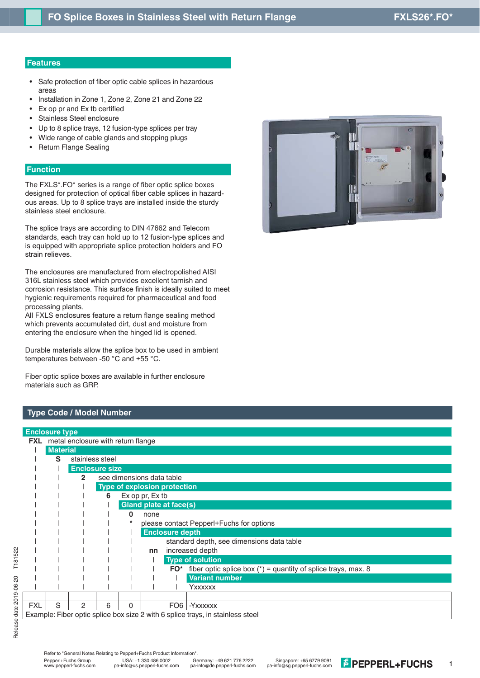#### **Features**

- Safe protection of fiber optic cable splices in hazardous areas
- Installation in Zone 1, Zone 2, Zone 21 and Zone 22
- Ex op pr and Ex tb certified
- Stainless Steel enclosure
- Up to 8 splice trays, 12 fusion-type splices per tray
- Wide range of cable glands and stopping plugs
- Return Flange Sealing

#### **Function**

The FXLS\*.FO\* series is a range of fiber optic splice boxes designed for protection of optical fiber cable splices in hazardous areas. Up to 8 splice trays are installed inside the sturdy stainless steel enclosure.

The splice trays are according to DIN 47662 and Telecom standards, each tray can hold up to 12 fusion-type splices and is equipped with appropriate splice protection holders and FO strain relieves.

The enclosures are manufactured from electropolished AISI 316L stainless steel which provides excellent tarnish and corrosion resistance. This surface finish is ideally suited to meet hygienic requirements required for pharmaceutical and food processing plants.

All FXLS enclosures feature a return flange sealing method which prevents accumulated dirt, dust and moisture from entering the enclosure when the hinged lid is opened.

Durable materials allow the splice box to be used in ambient temperatures between -50 °C and +55 °C.

Fiber optic splice boxes are available in further enclosure materials such as GRP.

## **Type Code / Model Number**

## **Enclosure type FXL** metal enclosure with return flange | **Material** | **S** stainless steel | | **Enclosure size** | | **2** see dimensions data table || | **Type of explosion protection** || | **6** Ex op pr, Ex tb || | | **Gland plate at face(s)** || | | **0** none || | | **\*** please contact Pepperl+Fuchs for options || | || **Enclosure depth** | | | | | | standard depth, see dimensions data table || | || **nn** increased depth || | ||| **Type of solution**  $|$   $|$   $|$   $|$   $|$  **FO\*** fiber optic splice box (\*) = quantity of splice trays, max. 8 || | |||| **Variant number** Yxxxxxx FXL S 2 6 0 FO6 - Yxxxxxx Example: Fiber optic splice box size 2 with 6 splice trays, in stainless steel

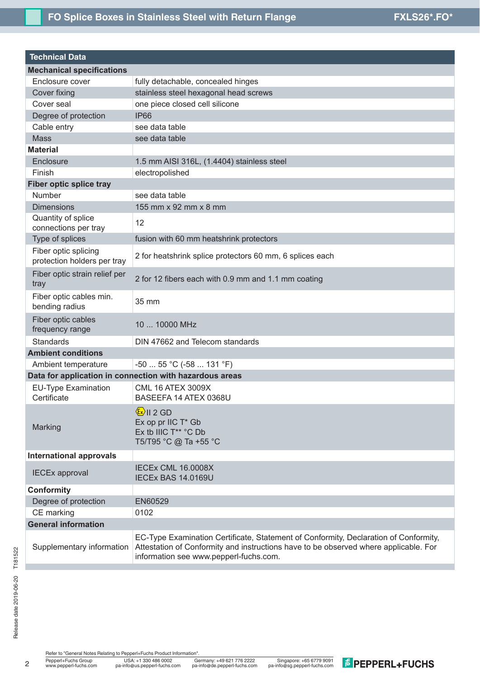# FO Splice Boxes in Stainless Steel with Return Flange **FXLS26\*.FO\***

| <b>Technical Data</b>                               |                                                                                                                                                                                                                        |  |  |  |  |  |  |
|-----------------------------------------------------|------------------------------------------------------------------------------------------------------------------------------------------------------------------------------------------------------------------------|--|--|--|--|--|--|
| <b>Mechanical specifications</b>                    |                                                                                                                                                                                                                        |  |  |  |  |  |  |
| Enclosure cover                                     | fully detachable, concealed hinges                                                                                                                                                                                     |  |  |  |  |  |  |
| Cover fixing                                        | stainless steel hexagonal head screws                                                                                                                                                                                  |  |  |  |  |  |  |
| Cover seal                                          | one piece closed cell silicone                                                                                                                                                                                         |  |  |  |  |  |  |
| Degree of protection                                | <b>IP66</b>                                                                                                                                                                                                            |  |  |  |  |  |  |
| Cable entry                                         | see data table                                                                                                                                                                                                         |  |  |  |  |  |  |
| <b>Mass</b>                                         | see data table                                                                                                                                                                                                         |  |  |  |  |  |  |
| <b>Material</b>                                     |                                                                                                                                                                                                                        |  |  |  |  |  |  |
| Enclosure                                           | 1.5 mm AISI 316L, (1.4404) stainless steel                                                                                                                                                                             |  |  |  |  |  |  |
| Finish                                              | electropolished                                                                                                                                                                                                        |  |  |  |  |  |  |
| Fiber optic splice tray                             |                                                                                                                                                                                                                        |  |  |  |  |  |  |
| Number                                              | see data table                                                                                                                                                                                                         |  |  |  |  |  |  |
| <b>Dimensions</b>                                   | 155 mm x 92 mm x 8 mm                                                                                                                                                                                                  |  |  |  |  |  |  |
| Quantity of splice<br>connections per tray          | 12                                                                                                                                                                                                                     |  |  |  |  |  |  |
| Type of splices                                     | fusion with 60 mm heatshrink protectors                                                                                                                                                                                |  |  |  |  |  |  |
| Fiber optic splicing<br>protection holders per tray | 2 for heatshrink splice protectors 60 mm, 6 splices each                                                                                                                                                               |  |  |  |  |  |  |
| Fiber optic strain relief per<br>tray               | 2 for 12 fibers each with 0.9 mm and 1.1 mm coating                                                                                                                                                                    |  |  |  |  |  |  |
| Fiber optic cables min.<br>bending radius           | 35 mm                                                                                                                                                                                                                  |  |  |  |  |  |  |
| Fiber optic cables<br>frequency range               | 10  10000 MHz                                                                                                                                                                                                          |  |  |  |  |  |  |
| <b>Standards</b>                                    | DIN 47662 and Telecom standards                                                                                                                                                                                        |  |  |  |  |  |  |
| <b>Ambient conditions</b>                           |                                                                                                                                                                                                                        |  |  |  |  |  |  |
| Ambient temperature                                 | $-50$ 55 °C ( $-58$ 131 °F)                                                                                                                                                                                            |  |  |  |  |  |  |
|                                                     | Data for application in connection with hazardous areas                                                                                                                                                                |  |  |  |  |  |  |
| <b>EU-Type Examination</b><br>Certificate           | <b>CML 16 ATEX 3009X</b><br>BASEEFA 14 ATEX 0368U                                                                                                                                                                      |  |  |  |  |  |  |
| Marking                                             | $\frac{\mathbf{k}}{\mathbf{k}}$     2 GD<br>Ex op pr IIC T* Gb<br>Ex tb IIIC T** °C Db<br>T5/T95 °C @ Ta +55 °C                                                                                                        |  |  |  |  |  |  |
| <b>International approvals</b>                      |                                                                                                                                                                                                                        |  |  |  |  |  |  |
| <b>IECEx approval</b>                               | <b>IECEX CML 16.0008X</b><br>IECEx BAS 14.0169U                                                                                                                                                                        |  |  |  |  |  |  |
| <b>Conformity</b>                                   |                                                                                                                                                                                                                        |  |  |  |  |  |  |
| Degree of protection                                | EN60529                                                                                                                                                                                                                |  |  |  |  |  |  |
| CE marking                                          | 0102                                                                                                                                                                                                                   |  |  |  |  |  |  |
| <b>General information</b>                          |                                                                                                                                                                                                                        |  |  |  |  |  |  |
| Supplementary information                           | EC-Type Examination Certificate, Statement of Conformity, Declaration of Conformity,<br>Attestation of Conformity and instructions have to be observed where applicable. For<br>information see www.pepperl-fuchs.com. |  |  |  |  |  |  |

Refer to "General Notes Relating to Pepperl+Fuchs Product Information".<br>
Pepperl+Fuchs Group<br>
Www.pepperl-fuchs.com pa-info@us.pepperl-fuchs.com pa-

2

USA: ...<br>
Germany: +49 621 776 2222 Singapore: +65 6779 9091<br>
pa-info@de.pepperl-fuchs.com pa-info@sg.pepperl-fuchs.com

**E** PEPPERL+FUCHS